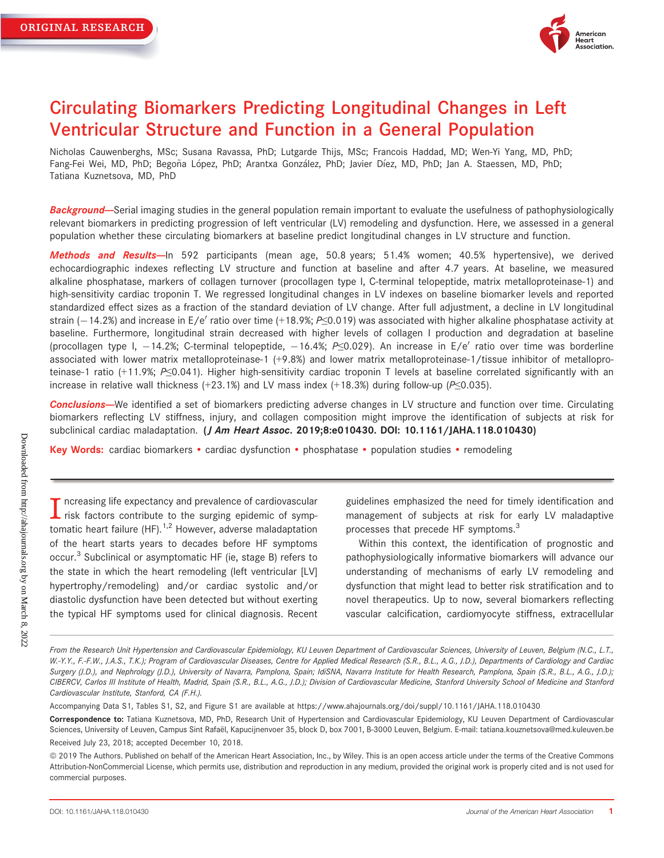

# Circulating Biomarkers Predicting Longitudinal Changes in Left Ventricular Structure and Function in a General Population

Nicholas Cauwenberghs, MSc; Susana Ravassa, PhD; Lutgarde Thijs, MSc; Francois Haddad, MD; Wen-Yi Yang, MD, PhD; Fang-Fei Wei, MD, PhD; Begoña López, PhD; Arantxa González, PhD; Javier Díez, MD, PhD; Jan A. Staessen, MD, PhD; Tatiana Kuznetsova, MD, PhD

**Background**—Serial imaging studies in the general population remain important to evaluate the usefulness of pathophysiologically relevant biomarkers in predicting progression of left ventricular (LV) remodeling and dysfunction. Here, we assessed in a general population whether these circulating biomarkers at baseline predict longitudinal changes in LV structure and function.

Methods and Results-ln 592 participants (mean age, 50.8 years; 51.4% women; 40.5% hypertensive), we derived echocardiographic indexes reflecting LV structure and function at baseline and after 4.7 years. At baseline, we measured alkaline phosphatase, markers of collagen turnover (procollagen type I, C-terminal telopeptide, matrix metalloproteinase-1) and high-sensitivity cardiac troponin T. We regressed longitudinal changes in LV indexes on baseline biomarker levels and reported standardized effect sizes as a fraction of the standard deviation of LV change. After full adjustment, a decline in LV longitudinal strain (-14.2%) and increase in E/e' ratio over time (+18.9%; P $\leq$ 0.019) was associated with higher alkaline phosphatase activity at baseline. Furthermore, longitudinal strain decreased with higher levels of collagen I production and degradation at baseline (procollagen type I, -14.2%; C-terminal telopeptide, -16.4%; P≤0.029). An increase in E/e' ratio over time was borderline associated with lower matrix metalloproteinase-1 (+9.8%) and lower matrix metalloproteinase-1/tissue inhibitor of metalloproteinase-1 ratio (+11.9%; P≤0.041). Higher high-sensitivity cardiac troponin T levels at baseline correlated significantly with an increase in relative wall thickness (+23.1%) and LV mass index (+18.3%) during follow-up ( $P\leq 0.035$ ).

Conclusions-We identified a set of biomarkers predicting adverse changes in LV structure and function over time. Circulating biomarkers reflecting LV stiffness, injury, and collagen composition might improve the identification of subjects at risk for subclinical cardiac maladaptation. (*J Am Heart Assoc.* 2019;8:e010430. DOI: [10.1161/JAHA.118.010430\)](info:doi/10.1161/JAHA.118.010430)

Key Words: cardiac biomarkers • cardiac dysfunction • phosphatase • population studies • remodeling

T ncreasing life expectancy and prevalence of cardiovascular<br>risk factors contribute to the surging epidemic of symptomatic heart failure  $(HF)$ .<sup>1,2</sup> However, adverse maladaptation of the heart starts years to decades before HF symptoms occur.<sup>3</sup> Subclinical or asymptomatic HF (ie, stage B) refers to the state in which the heart remodeling (left ventricular [LV] hypertrophy/remodeling) and/or cardiac systolic and/or diastolic dysfunction have been detected but without exerting the typical HF symptoms used for clinical diagnosis. Recent guidelines emphasized the need for timely identification and management of subjects at risk for early LV maladaptive processes that precede HF symptoms.<sup>3</sup>

Within this context, the identification of prognostic and pathophysiologically informative biomarkers will advance our understanding of mechanisms of early LV remodeling and dysfunction that might lead to better risk stratification and to novel therapeutics. Up to now, several biomarkers reflecting vascular calcification, cardiomyocyte stiffness, extracellular

From the Research Unit Hypertension and Cardiovascular Epidemiology, KU Leuven Department of Cardiovascular Sciences, University of Leuven, Belgium (N.C., L.T., W.-Y.Y., F.-F.W., J.A.S., T.K.); Program of Cardiovascular Diseases, Centre for Applied Medical Research (S.R., B.L., A.G., J.D.), Departments of Cardiology and Cardiac Surgery (J.D.), and Nephrology (J.D.), University of Navarra, Pamplona, Spain; IdiSNA, Navarra Institute for Health Research, Pamplona, Spain (S.R., B.L., A.G., J.D.); CIBERCV, Carlos III Institute of Health, Madrid, Spain (S.R., B.L., A.G., J.D.); Division of Cardiovascular Medicine, Stanford University School of Medicine and Stanford Cardiovascular Institute, Stanford, CA (F.H.).

Accompanying Data S1, Tables S1, S2, and Figure S1 are available at<https://www.ahajournals.org/doi/suppl/10.1161/JAHA.118.010430>

Correspondence to: Tatiana Kuznetsova, MD, PhD, Research Unit of Hypertension and Cardiovascular Epidemiology, KU Leuven Department of Cardiovascular Sciences, University of Leuven, Campus Sint Rafaël, Kapucijnenvoer 35, block D, box 7001, B-3000 Leuven, Belgium. E-mail: [tatiana.kouznetsova@med.kuleuven.be](mailto:) Received July 23, 2018; accepted December 10, 2018.

ª 2019 The Authors. Published on behalf of the American Heart Association, Inc., by Wiley. This is an open access article under the terms of the [Creative Commons](http://creativecommons.org/licenses/by-nc/4.0/) [Attribution-NonCommercial](http://creativecommons.org/licenses/by-nc/4.0/) License, which permits use, distribution and reproduction in any medium, provided the original work is properly cited and is not used for commercial purposes.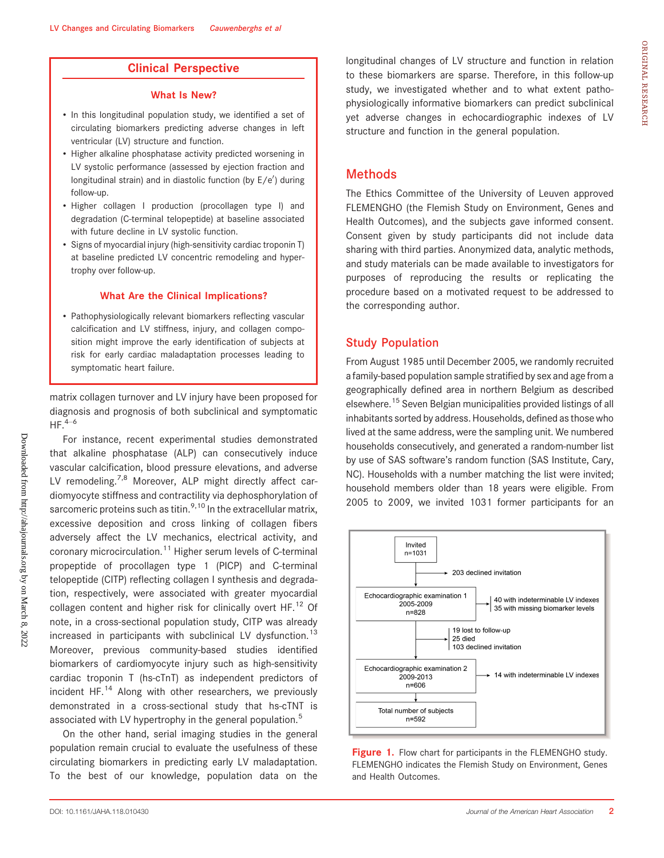# Clinical Perspective

#### What Is New?

- In this longitudinal population study, we identified a set of circulating biomarkers predicting adverse changes in left ventricular (LV) structure and function.
- Higher alkaline phosphatase activity predicted worsening in LV systolic performance (assessed by ejection fraction and longitudinal strain) and in diastolic function (by E/e') during follow-up.
- Higher collagen I production (procollagen type I) and degradation (C-terminal telopeptide) at baseline associated with future decline in LV systolic function.
- Signs of myocardial injury (high-sensitivity cardiac troponin T) at baseline predicted LV concentric remodeling and hypertrophy over follow-up.

#### What Are the Clinical Implications?

• Pathophysiologically relevant biomarkers reflecting vascular calcification and LV stiffness, injury, and collagen composition might improve the early identification of subjects at risk for early cardiac maladaptation processes leading to symptomatic heart failure.

matrix collagen turnover and LV injury have been proposed for diagnosis and prognosis of both subclinical and symptomatic  $HF.<sup>4–6</sup>$ 

For instance, recent experimental studies demonstrated that alkaline phosphatase (ALP) can consecutively induce vascular calcification, blood pressure elevations, and adverse LV remodeling.<sup>7,8</sup> Moreover, ALP might directly affect cardiomyocyte stiffness and contractility via dephosphorylation of sarcomeric proteins such as titin.  $9,10$  In the extracellular matrix, excessive deposition and cross linking of collagen fibers adversely affect the LV mechanics, electrical activity, and coronary microcirculation.<sup>11</sup> Higher serum levels of C-terminal propeptide of procollagen type 1 (PICP) and C-terminal telopeptide (CITP) reflecting collagen I synthesis and degradation, respectively, were associated with greater myocardial collagen content and higher risk for clinically overt  $HF<sup>12</sup>$  Of note, in a cross-sectional population study, CITP was already increased in participants with subclinical LV dysfunction.<sup>13</sup> Moreover, previous community-based studies identified biomarkers of cardiomyocyte injury such as high-sensitivity cardiac troponin T (hs-cTnT) as independent predictors of incident HF. $<sup>14</sup>$  Along with other researchers, we previously</sup> demonstrated in a cross-sectional study that hs-cTNT is associated with LV hypertrophy in the general population.<sup>5</sup>

On the other hand, serial imaging studies in the general population remain crucial to evaluate the usefulness of these circulating biomarkers in predicting early LV maladaptation. To the best of our knowledge, population data on the longitudinal changes of LV structure and function in relation to these biomarkers are sparse. Therefore, in this follow-up study, we investigated whether and to what extent pathophysiologically informative biomarkers can predict subclinical yet adverse changes in echocardiographic indexes of LV structure and function in the general population.

# **Methods**

The Ethics Committee of the University of Leuven approved FLEMENGHO (the Flemish Study on Environment, Genes and Health Outcomes), and the subjects gave informed consent. Consent given by study participants did not include data sharing with third parties. Anonymized data, analytic methods, and study materials can be made available to investigators for purposes of reproducing the results or replicating the procedure based on a motivated request to be addressed to the corresponding author.

# Study Population

From August 1985 until December 2005, we randomly recruited a family-based population sample stratified by sex and age from a geographically defined area in northern Belgium as described elsewhere.15 Seven Belgian municipalities provided listings of all inhabitants sorted by address. Households, defined as those who lived at the same address, were the sampling unit. We numbered households consecutively, and generated a random-number list by use of SAS software's random function (SAS Institute, Cary, NC). Households with a number matching the list were invited; household members older than 18 years were eligible. From 2005 to 2009, we invited 1031 former participants for an



Figure 1. Flow chart for participants in the FLEMENGHO study. FLEMENGHO indicates the Flemish Study on Environment, Genes and Health Outcomes.

Downloaded from http://ahajournals.org by on March 8, 2022

Downloaded from http://ahajournals.org by on March 8, 2022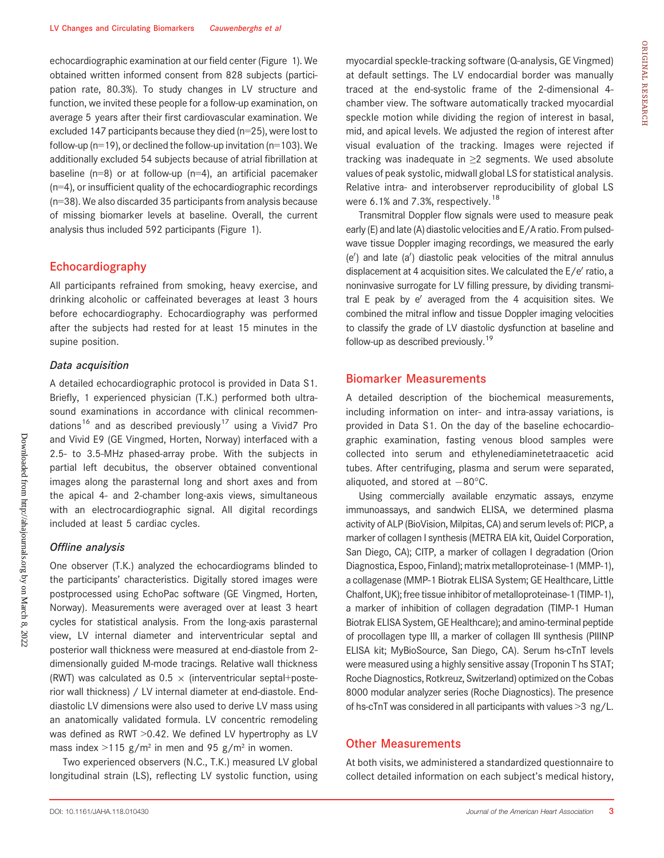echocardiographic examination at our field center (Figure 1). We obtained written informed consent from 828 subjects (participation rate, 80.3%). To study changes in LV structure and function, we invited these people for a follow-up examination, on average 5 years after their first cardiovascular examination. We excluded 147 participants because they died (n=25), were lost to follow-up ( $n=19$ ), or declined the follow-up invitation ( $n=103$ ). We additionally excluded 54 subjects because of atrial fibrillation at baseline ( $n=8$ ) or at follow-up ( $n=4$ ), an artificial pacemaker (n=4), or insufficient quality of the echocardiographic recordings (n=38). We also discarded 35 participants from analysis because of missing biomarker levels at baseline. Overall, the current analysis thus included 592 participants (Figure 1).

### Echocardiography

All participants refrained from smoking, heavy exercise, and drinking alcoholic or caffeinated beverages at least 3 hours before echocardiography. Echocardiography was performed after the subjects had rested for at least 15 minutes in the supine position.

# Data acquisition

A detailed echocardiographic protocol is provided in Data S1. Briefly, 1 experienced physician (T.K.) performed both ultrasound examinations in accordance with clinical recommendations<sup>16</sup> and as described previously<sup>17</sup> using a Vivid7 Pro and Vivid E9 (GE Vingmed, Horten, Norway) interfaced with a 2.5- to 3.5-MHz phased-array probe. With the subjects in partial left decubitus, the observer obtained conventional images along the parasternal long and short axes and from the apical 4- and 2-chamber long-axis views, simultaneous with an electrocardiographic signal. All digital recordings included at least 5 cardiac cycles.

#### Offline analysis

One observer (T.K.) analyzed the echocardiograms blinded to the participants' characteristics. Digitally stored images were postprocessed using EchoPac software (GE Vingmed, Horten, Norway). Measurements were averaged over at least 3 heart cycles for statistical analysis. From the long-axis parasternal view, LV internal diameter and interventricular septal and posterior wall thickness were measured at end-diastole from 2 dimensionally guided M-mode tracings. Relative wall thickness (RWT) was calculated as  $0.5 \times$  (interventricular septal+posterior wall thickness) / LV internal diameter at end-diastole. Enddiastolic LV dimensions were also used to derive LV mass using an anatomically validated formula. LV concentric remodeling was defined as RWT > 0.42. We defined LV hypertrophy as LV mass index  $>115$  g/m<sup>2</sup> in men and 95 g/m<sup>2</sup> in women.

Two experienced observers (N.C., T.K.) measured LV global longitudinal strain (LS), reflecting LV systolic function, using myocardial speckle-tracking software (Q-analysis, GE Vingmed) at default settings. The LV endocardial border was manually traced at the end-systolic frame of the 2-dimensional 4 chamber view. The software automatically tracked myocardial speckle motion while dividing the region of interest in basal, mid, and apical levels. We adjusted the region of interest after visual evaluation of the tracking. Images were rejected if tracking was inadequate in ≥2 segments. We used absolute values of peak systolic, midwall global LS for statistical analysis. Relative intra- and interobserver reproducibility of global LS were 6.1% and 7.3%, respectively.<sup>18</sup>

Transmitral Doppler flow signals were used to measure peak early(E) and late (A) diastolic velocities and E/A ratio. From pulsedwave tissue Doppler imaging recordings, we measured the early  $(e')$  and late  $(a')$  diastolic peak velocities of the mitral annulus displacement at 4 acquisition sites. We calculated the  $E/e'$  ratio, a noninvasive surrogate for LV filling pressure, by dividing transmitral  $E$  peak by e' averaged from the 4 acquisition sites. We combined the mitral inflow and tissue Doppler imaging velocities to classify the grade of LV diastolic dysfunction at baseline and follow-up as described previously.<sup>19</sup>

# Biomarker Measurements

A detailed description of the biochemical measurements, including information on inter- and intra-assay variations, is provided in Data S1. On the day of the baseline echocardiographic examination, fasting venous blood samples were collected into serum and ethylenediaminetetraacetic acid tubes. After centrifuging, plasma and serum were separated, aliquoted, and stored at  $-80^{\circ}$ C.

Using commercially available enzymatic assays, enzyme immunoassays, and sandwich ELISA, we determined plasma activity of ALP (BioVision, Milpitas, CA) and serum levels of: PICP, a marker of collagen I synthesis (METRA EIA kit, Quidel Corporation, San Diego, CA); CITP, a marker of collagen I degradation (Orion Diagnostica, Espoo, Finland); matrix metalloproteinase-1 (MMP-1), a collagenase (MMP-1 Biotrak ELISA System; GE Healthcare, Little Chalfont, UK); free tissue inhibitor of metalloproteinase-1 (TIMP-1), a marker of inhibition of collagen degradation (TIMP-1 Human Biotrak ELISA System, GE Healthcare); and amino-terminal peptide of procollagen type III, a marker of collagen III synthesis (PIIINP ELISA kit; MyBioSource, San Diego, CA). Serum hs-cTnT levels were measured using a highly sensitive assay (Troponin T hs STAT; Roche Diagnostics, Rotkreuz, Switzerland) optimized on the Cobas 8000 modular analyzer series (Roche Diagnostics). The presence of hs-cTnT was considered in all participants with values >3 ng/L.

#### Other Measurements

At both visits, we administered a standardized questionnaire to collect detailed information on each subject's medical history,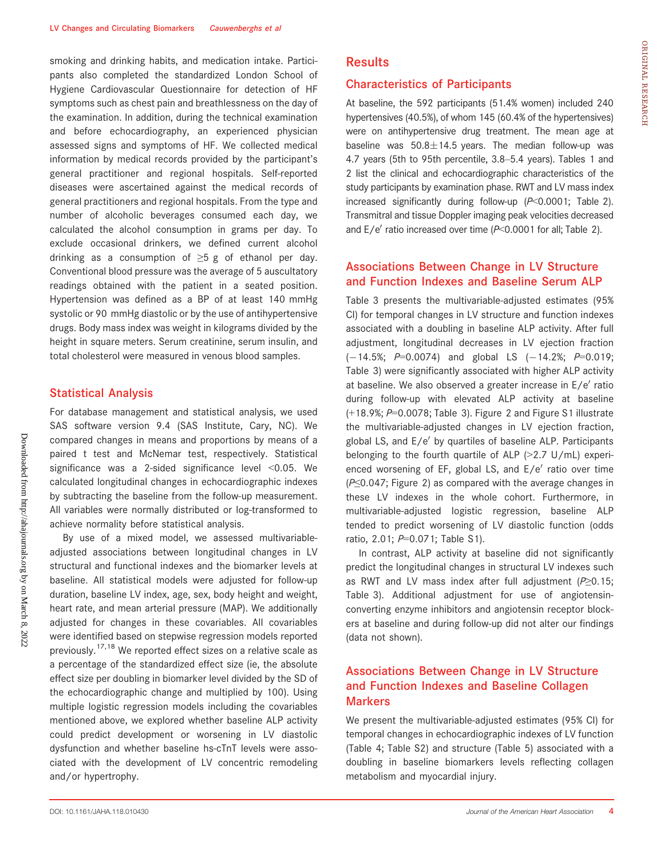smoking and drinking habits, and medication intake. Participants also completed the standardized London School of Hygiene Cardiovascular Questionnaire for detection of HF symptoms such as chest pain and breathlessness on the day of the examination. In addition, during the technical examination and before echocardiography, an experienced physician assessed signs and symptoms of HF. We collected medical information by medical records provided by the participant's general practitioner and regional hospitals. Self-reported diseases were ascertained against the medical records of general practitioners and regional hospitals. From the type and number of alcoholic beverages consumed each day, we calculated the alcohol consumption in grams per day. To exclude occasional drinkers, we defined current alcohol drinking as a consumption of  $\geq 5$  g of ethanol per day. Conventional blood pressure was the average of 5 auscultatory readings obtained with the patient in a seated position. Hypertension was defined as a BP of at least 140 mmHg systolic or 90 mmHg diastolic or by the use of antihypertensive drugs. Body mass index was weight in kilograms divided by the height in square meters. Serum creatinine, serum insulin, and total cholesterol were measured in venous blood samples.

## Statistical Analysis

For database management and statistical analysis, we used SAS software version 9.4 (SAS Institute, Cary, NC). We compared changes in means and proportions by means of a paired t test and McNemar test, respectively. Statistical significance was a 2-sided significance level <0.05. We calculated longitudinal changes in echocardiographic indexes by subtracting the baseline from the follow-up measurement. All variables were normally distributed or log-transformed to achieve normality before statistical analysis.

By use of a mixed model, we assessed multivariableadjusted associations between longitudinal changes in LV structural and functional indexes and the biomarker levels at baseline. All statistical models were adjusted for follow-up duration, baseline LV index, age, sex, body height and weight, heart rate, and mean arterial pressure (MAP). We additionally adjusted for changes in these covariables. All covariables were identified based on stepwise regression models reported previously.17,18 We reported effect sizes on a relative scale as a percentage of the standardized effect size (ie, the absolute effect size per doubling in biomarker level divided by the SD of the echocardiographic change and multiplied by 100). Using multiple logistic regression models including the covariables mentioned above, we explored whether baseline ALP activity could predict development or worsening in LV diastolic dysfunction and whether baseline hs-cTnT levels were associated with the development of LV concentric remodeling and/or hypertrophy.

# **Results**

#### Characteristics of Participants

At baseline, the 592 participants (51.4% women) included 240 hypertensives (40.5%), of whom 145 (60.4% of the hypertensives) were on antihypertensive drug treatment. The mean age at baseline was  $50.8\pm14.5$  years. The median follow-up was 4.7 years (5th to 95th percentile, 3.8–5.4 years). Tables 1 and 2 list the clinical and echocardiographic characteristics of the study participants by examination phase. RWT and LV mass index increased significantly during follow-up  $(P<0.0001$ ; Table 2). Transmitral and tissue Doppler imaging peak velocities decreased and  $E/e'$  ratio increased over time ( $P<0.0001$  for all; Table 2).

# Associations Between Change in LV Structure and Function Indexes and Baseline Serum ALP

Table 3 presents the multivariable-adjusted estimates (95% CI) for temporal changes in LV structure and function indexes associated with a doubling in baseline ALP activity. After full adjustment, longitudinal decreases in LV ejection fraction  $(-14.5\%;$  P=0.0074) and global LS  $(-14.2\%;$  P=0.019; Table 3) were significantly associated with higher ALP activity at baseline. We also observed a greater increase in  $E/e'$  ratio during follow-up with elevated ALP activity at baseline  $(+18.9\%; P=0.0078;$  Table 3). Figure 2 and Figure S1 illustrate the multivariable-adjusted changes in LV ejection fraction, global LS, and E/e' by quartiles of baseline ALP. Participants belonging to the fourth quartile of ALP  $(>2.7 \text{ U/mL})$  experienced worsening of EF, global LS, and  $E/e'$  ratio over time (P≤0.047; Figure 2) as compared with the average changes in these LV indexes in the whole cohort. Furthermore, in multivariable-adjusted logistic regression, baseline ALP tended to predict worsening of LV diastolic function (odds ratio, 2.01; P=0.071; Table S1).

In contrast, ALP activity at baseline did not significantly predict the longitudinal changes in structural LV indexes such as RWT and LV mass index after full adjustment ( $P\geq 0.15$ ; Table 3). Additional adjustment for use of angiotensinconverting enzyme inhibitors and angiotensin receptor blockers at baseline and during follow-up did not alter our findings (data not shown).

# Associations Between Change in LV Structure and Function Indexes and Baseline Collagen **Markers**

We present the multivariable-adjusted estimates (95% CI) for temporal changes in echocardiographic indexes of LV function (Table 4; Table S2) and structure (Table 5) associated with a doubling in baseline biomarkers levels reflecting collagen metabolism and myocardial injury.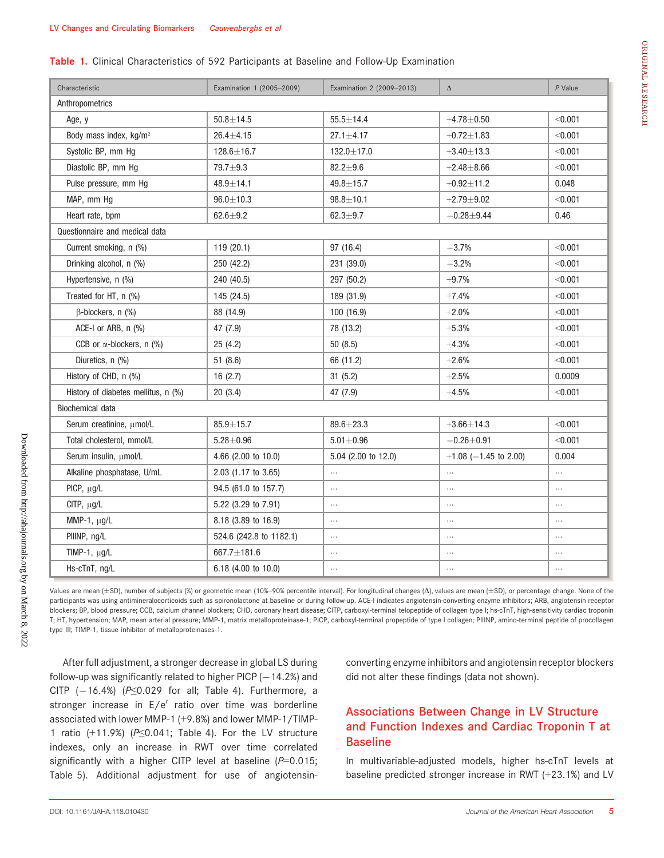#### Table 1. Clinical Characteristics of 592 Participants at Baseline and Follow-Up Examination

| Characteristic                      | Examination 1 (2005-2009) | Examination 2 (2009-2013) | $\Delta$                | $P$ Value |
|-------------------------------------|---------------------------|---------------------------|-------------------------|-----------|
| Anthropometrics                     |                           |                           |                         |           |
| Age, y                              | $50.8 + 14.5$             | $55.5 \pm 14.4$           | $+4.78 + 0.50$          | < 0.001   |
| Body mass index, kg/m <sup>2</sup>  | $26.4 \pm 4.15$           | $27.1 \pm 4.17$           | $+0.72 + 1.83$          | < 0.001   |
| Systolic BP, mm Hg                  | 128.6±16.7                | 132.0±17.0                | $+3.40 \pm 13.3$        | < 0.001   |
| Diastolic BP, mm Hg                 | 79.7±9.3                  | $82.2 \pm 9.6$            | $+2.48 + 8.66$          | < 0.001   |
| Pulse pressure, mm Hq               | $48.9 \pm 14.1$           | $49.8 \pm 15.7$           | $+0.92 \pm 11.2$        | 0.048     |
| MAP, mm Hg                          | $96.0 \pm 10.3$           | $98.8 \pm 10.1$           | $+2.79 + 9.02$          | < 0.001   |
| Heart rate, bpm                     | $62.6 \pm 9.2$            | $62.3 + 9.7$              | $-0.28 + 9.44$          | 0.46      |
| Questionnaire and medical data      |                           |                           |                         |           |
| Current smoking, n (%)              | 119 (20.1)                | 97 (16.4)                 | $-3.7%$                 | < 0.001   |
| Drinking alcohol, n (%)             | 250 (42.2)                | 231 (39.0)                | $-3.2%$                 | < 0.001   |
| Hypertensive, n (%)                 | 240 (40.5)                | 297 (50.2)                | $+9.7%$                 | < 0.001   |
| Treated for HT, n (%)               | 145 (24.5)                | 189 (31.9)                | $+7.4%$                 | < 0.001   |
| $\beta$ -blockers, n $(\%)$         | 88 (14.9)                 | 100 (16.9)                | $+2.0%$                 | < 0.001   |
| ACE-I or ARB, n (%)                 | 47 (7.9)                  | 78 (13.2)                 | $+5.3%$                 | < 0.001   |
| CCB or $\alpha$ -blockers, n (%)    | 25(4.2)                   | 50(8.5)                   | $+4.3%$                 | < 0.001   |
| Diuretics, n (%)                    | 51(8.6)                   | 66 (11.2)                 | $+2.6%$                 | < 0.001   |
| History of CHD, n (%)               | 16(2.7)                   | 31(5.2)                   | $+2.5%$                 | 0.0009    |
| History of diabetes mellitus, n (%) | 20(3.4)                   | 47 (7.9)                  | $+4.5%$                 | < 0.001   |
| Biochemical data                    |                           |                           |                         |           |
| Serum creatinine, µmol/L            | $85.9 \pm 15.7$           | $89.6 \pm 23.3$           | $+3.66 \pm 14.3$        | < 0.001   |
| Total cholesterol, mmol/L           | $5.28 \pm 0.96$           | $5.01 \pm 0.96$           | $-0.26 + 0.91$          | < 0.001   |
| Serum insulin, µmol/L               | 4.66 (2.00 to 10.0)       | 5.04 (2.00 to 12.0)       | $+1.08$ (-1.45 to 2.00) | 0.004     |
| Alkaline phosphatase, U/mL          | 2.03 (1.17 to 3.65)       | $\cdots$                  | $\cdots$                |           |
| PICP, µg/L                          | 94.5 (61.0 to 157.7)      | $\ddotsc$                 | $\cdots$                | $\cdots$  |
| CITP, $\mu$ g/L                     | 5.22 (3.29 to 7.91)       | $\cdots$                  | $\cdots$                | $\cdots$  |
| MMP-1, $\mu$ g/L                    | 8.18 (3.89 to 16.9)       | $\cdots$                  | $\cdots$                | $\cdots$  |
| PIIINP, ng/L                        | 524.6 (242.8 to 1182.1)   | $\cdots$                  | $\cdots$                | $\cdots$  |
| TIMP-1, $\mu$ g/L                   | 667.7±181.6               | $\cdots$                  | $\cdots$                | $\ldots$  |
| Hs-cTnT, ng/L                       | 6.18 (4.00 to 10.0)       | $\cdots$                  | $\cdots$                | $\cdots$  |

Values are mean (±SD), number of subjects (%) or geometric mean (10%-90% percentile interval). For longitudinal changes ( $\Delta$ ), values are mean (±SD), or percentage change. None of the participants was using antimineralocorticoids such as spironolactone at baseline or during follow-up. ACE-I indicates angiotensin-converting enzyme inhibitors; ARB, angiotensin receptor blockers; BP, blood pressure; CCB, calcium channel blockers; CHD, coronary heart disease; CITP, carboxyl-terminal telopeptide of collagen type I; hs-cTnT, high-sensitivity cardiac troponin T; HT, hypertension; MAP, mean arterial pressure; MMP-1, matrix metalloproteinase-1; PICP, carboxyl-terminal propeptide of type I collagen; PIIINP, amino-terminal peptide of procollagen type III; TIMP-1, tissue inhibitor of metalloproteinases-1.

After full adjustment, a stronger decrease in global LS during follow-up was significantly related to higher PICP  $(-14.2%)$  and CITP  $(-16.4%)$  (P≤0.029 for all; Table 4). Furthermore, a stronger increase in  $E/e'$  ratio over time was borderline associated with lower MMP-1 (+9.8%) and lower MMP-1/TIMP-1 ratio  $(+11.9%)$  ( $P \le 0.041$ ; Table 4). For the LV structure indexes, only an increase in RWT over time correlated significantly with a higher CITP level at baseline  $(P=0.015;$ Table 5). Additional adjustment for use of angiotensinconverting enzyme inhibitors and angiotensin receptor blockers did not alter these findings (data not shown).

# Associations Between Change in LV Structure and Function Indexes and Cardiac Troponin T at Baseline

In multivariable-adjusted models, higher hs-cTnT levels at baseline predicted stronger increase in RWT (+23.1%) and LV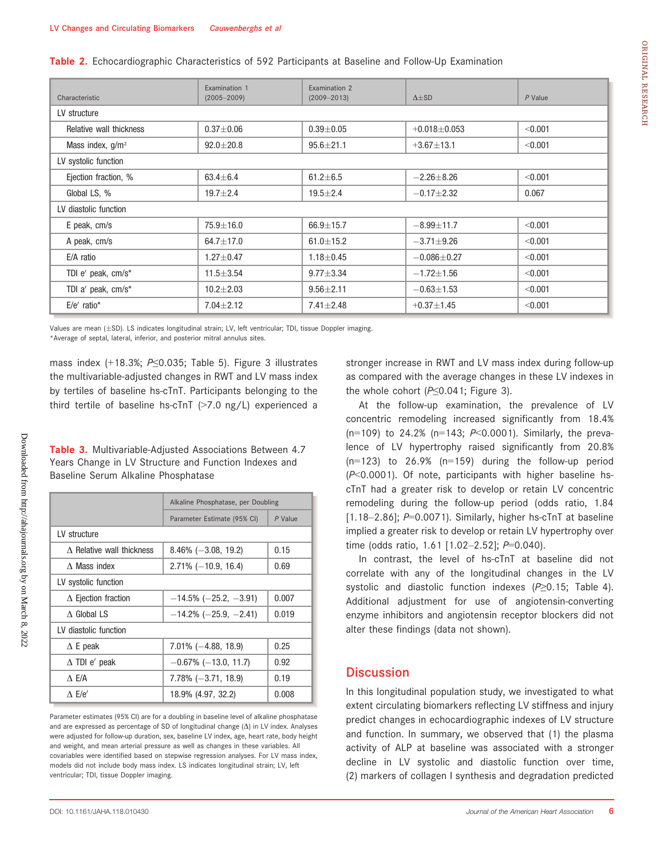Table 2. Echocardiographic Characteristics of 592 Participants at Baseline and Follow-Up Examination

| Characteristic          | Examination 1<br>$(2005 - 2009)$ | Examination 2<br>$(2009 - 2013)$ | $\Delta \pm SD$   | $P$ Value |  |  |  |
|-------------------------|----------------------------------|----------------------------------|-------------------|-----------|--|--|--|
| LV structure            |                                  |                                  |                   |           |  |  |  |
| Relative wall thickness | $0.37 + 0.06$                    | $0.39 + 0.05$                    | $+0.018 + 0.053$  | < 0.001   |  |  |  |
| Mass index, $g/m^2$     | $92.0 + 20.8$                    | $95.6 + 21.1$                    | $+3.67 \pm 13.1$  | < 0.001   |  |  |  |
| LV systolic function    |                                  |                                  |                   |           |  |  |  |
| Ejection fraction, %    | $63.4 \pm 6.4$                   | $61.2 \pm 6.5$                   | $-2.26 + 8.26$    | < 0.001   |  |  |  |
| Global LS, %            | $19.7 + 2.4$                     | $19.5 \pm 2.4$                   | $-0.17 + 2.32$    | 0.067     |  |  |  |
| LV diastolic function   |                                  |                                  |                   |           |  |  |  |
| E peak, cm/s            | $75.9 \pm 16.0$                  | $66.9 \pm 15.7$                  | $-8.99 \pm 11.7$  | < 0.001   |  |  |  |
| A peak, cm/s            | $64.7 + 17.0$                    | $61.0 + 15.2$                    | $-3.71 \pm 9.26$  | < 0.001   |  |  |  |
| E/A ratio               | $1.27 \pm 0.47$                  | $1.18 + 0.45$                    | $-0.086 \pm 0.27$ | < 0.001   |  |  |  |
| TDI e' peak, cm/s*      | $11.5 \pm 3.54$                  | $9.77 \pm 3.34$                  | $-1.72 \pm 1.56$  | < 0.001   |  |  |  |
| TDI a' peak, cm/s*      | $10.2 \pm 2.03$                  | $9.56 \pm 2.11$                  | $-0.63 + 1.53$    | < 0.001   |  |  |  |
| $E/e'$ ratio*           | $7.04 \pm 2.12$                  | $7.41 \pm 2.48$                  | $+0.37 + 1.45$    | < 0.001   |  |  |  |

Values are mean (±SD). LS indicates longitudinal strain; LV, left ventricular; TDI, tissue Doppler imaging.

\*Average of septal, lateral, inferior, and posterior mitral annulus sites.

mass index (+18.3%; P≤0.035; Table 5). Figure 3 illustrates the multivariable-adjusted changes in RWT and LV mass index by tertiles of baseline hs-cTnT. Participants belonging to the third tertile of baseline hs-cTnT (>7.0 ng/L) experienced a

Table 3. Multivariable-Adjusted Associations Between 4.7 Years Change in LV Structure and Function Indexes and Baseline Serum Alkaline Phosphatase

|                                              | Alkaline Phosphatase, per Doubling |           |  |
|----------------------------------------------|------------------------------------|-----------|--|
|                                              | Parameter Estimate (95% CI)        | $P$ Value |  |
| LV structure                                 |                                    |           |  |
| $\Lambda$ Relative wall thickness            | $8.46\%$ (-3.08, 19.2)             | 0.15      |  |
| $\Lambda$ Mass index                         | $2.71\%$ (-10.9, 16.4)             | 0.69      |  |
| LV systolic function                         |                                    |           |  |
| $\Delta$ Ejection fraction                   | $-14.5\%$ ( $-25.2, -3.91$ )       | 0.007     |  |
| $\Lambda$ Global LS                          | $-14.2\%$ (-25.9, -2.41)           | 0.019     |  |
| LV diastolic function                        |                                    |           |  |
| $\Delta$ E peak                              | $7.01\%$ (-4.88, 18.9)             | 0.25      |  |
| $\Delta$ TDI e' peak                         | $-0.67\%$ ( $-13.0, 11.7$ )        | 0.92      |  |
| $\Lambda$ E/A                                | $7.78\% (-3.71, 18.9)$             | 0.19      |  |
| $\Lambda$ E/e <sup><math>\prime</math></sup> | 18.9% (4.97, 32.2)                 | 0.008     |  |

Parameter estimates (95% CI) are for a doubling in baseline level of alkaline phosphatase and are expressed as percentage of SD of longitudinal change  $(\Delta)$  in LV index. Analyses were adjusted for follow-up duration, sex, baseline LV index, age, heart rate, body height and weight, and mean arterial pressure as well as changes in these variables. All covariables were identified based on stepwise regression analyses. For LV mass index, models did not include body mass index. LS indicates longitudinal strain; LV, left ventricular; TDI, tissue Doppler imaging.

Downloaded from http://ahajournals.org by on March 8, 2022

Downloaded from http://ahajournals.org by on March 8, 2022

stronger increase in RWT and LV mass index during follow-up as compared with the average changes in these LV indexes in the whole cohort ( $P \le 0.041$ ; Figure 3).

At the follow-up examination, the prevalence of LV concentric remodeling increased significantly from 18.4% (n=109) to 24.2% (n=143;  $P<0.0001$ ). Similarly, the prevalence of LV hypertrophy raised significantly from 20.8%  $(n=123)$  to 26.9%  $(n=159)$  during the follow-up period (P<0.0001). Of note, participants with higher baseline hscTnT had a greater risk to develop or retain LV concentric remodeling during the follow-up period (odds ratio, 1.84  $[1.18-2.86]$ ; P=0.0071). Similarly, higher hs-cTnT at baseline implied a greater risk to develop or retain LV hypertrophy over time (odds ratio, 1.61 [1.02-2.52]; P=0.040).

In contrast, the level of hs-cTnT at baseline did not correlate with any of the longitudinal changes in the LV systolic and diastolic function indexes  $(P \ge 0.15$ ; Table 4). Additional adjustment for use of angiotensin-converting enzyme inhibitors and angiotensin receptor blockers did not alter these findings (data not shown).

# **Discussion**

In this longitudinal population study, we investigated to what extent circulating biomarkers reflecting LV stiffness and injury predict changes in echocardiographic indexes of LV structure and function. In summary, we observed that (1) the plasma activity of ALP at baseline was associated with a stronger decline in LV systolic and diastolic function over time, (2) markers of collagen I synthesis and degradation predicted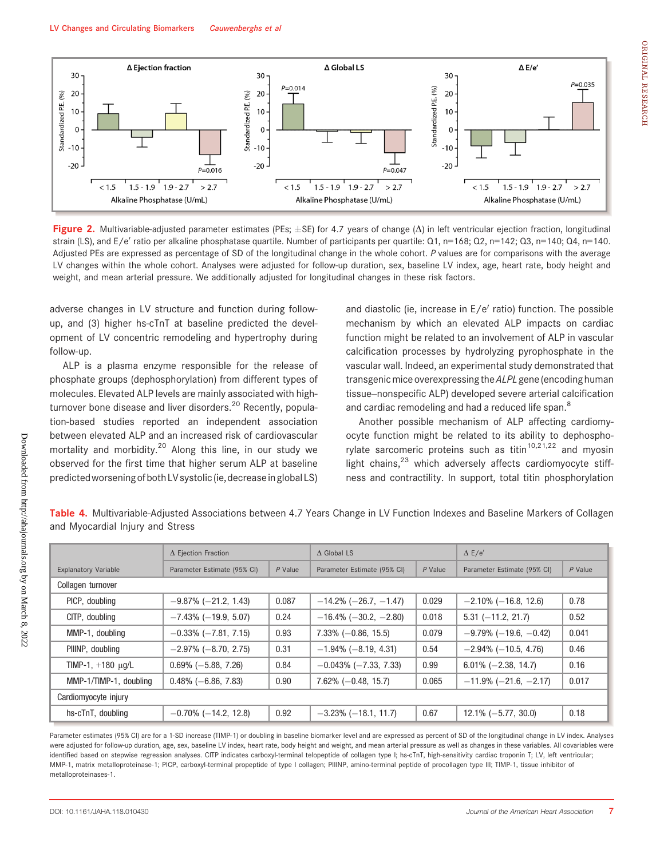

Figure 2. Multivariable-adjusted parameter estimates (PEs;  $\pm$ SE) for 4.7 years of change ( $\Delta$ ) in left ventricular ejection fraction, longitudinal strain (LS), and E/e' ratio per alkaline phosphatase quartile. Number of participants per quartile: Q1, n=168; Q2, n=142; Q3, n=140; Q4, n=140. Adjusted PEs are expressed as percentage of SD of the longitudinal change in the whole cohort. P values are for comparisons with the average LV changes within the whole cohort. Analyses were adjusted for follow-up duration, sex, baseline LV index, age, heart rate, body height and weight, and mean arterial pressure. We additionally adjusted for longitudinal changes in these risk factors.

adverse changes in LV structure and function during followup, and (3) higher hs-cTnT at baseline predicted the development of LV concentric remodeling and hypertrophy during follow-up.

ALP is a plasma enzyme responsible for the release of phosphate groups (dephosphorylation) from different types of molecules. Elevated ALP levels are mainly associated with highturnover bone disease and liver disorders.<sup>20</sup> Recently, population-based studies reported an independent association between elevated ALP and an increased risk of cardiovascular mortality and morbidity.<sup>20</sup> Along this line, in our study we observed for the first time that higher serum ALP at baseline predicted worsening of both LV systolic (ie, decrease in global LS) and diastolic (ie, increase in  $E/e'$  ratio) function. The possible mechanism by which an elevated ALP impacts on cardiac function might be related to an involvement of ALP in vascular calcification processes by hydrolyzing pyrophosphate in the vascular wall. Indeed, an experimental study demonstrated that transgenic mice overexpressing the ALPL gene (encoding human tissue–nonspecific ALP) developed severe arterial calcification and cardiac remodeling and had a reduced life span.<sup>8</sup>

Another possible mechanism of ALP affecting cardiomyocyte function might be related to its ability to dephosphorylate sarcomeric proteins such as  $\frac{\text{titin}^{10,21,22}}{\text{int}}$  and myosin light chains, $23$  which adversely affects cardiomyocyte stiffness and contractility. In support, total titin phosphorylation

|                             | $\Delta$ Ejection Fraction  |         | $\Delta$ Global LS           |         | $\Delta$ E/e'                   |         |
|-----------------------------|-----------------------------|---------|------------------------------|---------|---------------------------------|---------|
| <b>Explanatory Variable</b> | Parameter Estimate (95% CI) | P Value | Parameter Estimate (95% CI)  | P Value | Parameter Estimate (95% CI)     | P Value |
| Collagen turnover           |                             |         |                              |         |                                 |         |
| PICP, doubling              | $-9.87\%$ ( $-21.2, 1.43$ ) | 0.087   | $-14.2\%$ (-26.7, -1.47)     | 0.029   | $-2.10\%$ ( $-16.8$ , 12.6)     | 0.78    |
| CITP, doubling              | $-7.43\%$ ( $-19.9, 5.07$ ) | 0.24    | $-16.4\%$ ( $-30.2, -2.80$ ) | 0.018   | $5.31 (-11.2, 21.7)$            | 0.52    |
| MMP-1, doubling             | $-0.33\%$ ( $-7.81, 7.15$ ) | 0.93    | $7.33\%$ (-0.86, 15.5)       | 0.079   | $-9.79\%$ ( $-19.6$ , $-0.42$ ) | 0.041   |
| PIIINP, doubling            | $-2.97\%$ (-8.70, 2.75)     | 0.31    | $-1.94\%$ (-8.19, 4.31)      | 0.54    | $-2.94\%$ (-10.5, 4.76)         | 0.46    |
| TIMP-1, $+180 \mu q/L$      | $0.69\%$ (-5.88, 7.26)      | 0.84    | $-0.043\%$ ( $-7.33$ , 7.33) | 0.99    | $6.01\% (-2.38, 14.7)$          | 0.16    |
| MMP-1/TIMP-1, doubling      | $0.48\%$ (-6.86, 7.83)      | 0.90    | $7.62\%$ (-0.48, 15.7)       | 0.065   | $-11.9\%$ (-21.6, -2.17)        | 0.017   |
| Cardiomyocyte injury        |                             |         |                              |         |                                 |         |
| hs-cTnT, doubling           | $-0.70\%$ ( $-14.2, 12.8$ ) | 0.92    | $-3.23\%$ ( $-18.1, 11.7$ )  | 0.67    | $12.1\% (-5.77, 30.0)$          | 0.18    |

Table 4. Multivariable-Adjusted Associations between 4.7 Years Change in LV Function Indexes and Baseline Markers of Collagen and Myocardial Injury and Stress

Parameter estimates (95% CI) are for a 1-SD increase (TIMP-1) or doubling in baseline biomarker level and are expressed as percent of SD of the longitudinal change in LV index. Analyses were adjusted for follow-up duration, age, sex, baseline LV index, heart rate, body height and weight, and mean arterial pressure as well as changes in these variables. All covariables were identified based on stepwise regression analyses. CITP indicates carboxyl-terminal telopeptide of collagen type I; hs-cTnT, high-sensitivity cardiac troponin T; LV, left ventricular; MMP-1, matrix metalloproteinase-1; PICP, carboxyl-terminal propeptide of type I collagen; PIIINP, amino-terminal peptide of procollagen type III; TIMP-1, tissue inhibitor of metalloproteinases-1.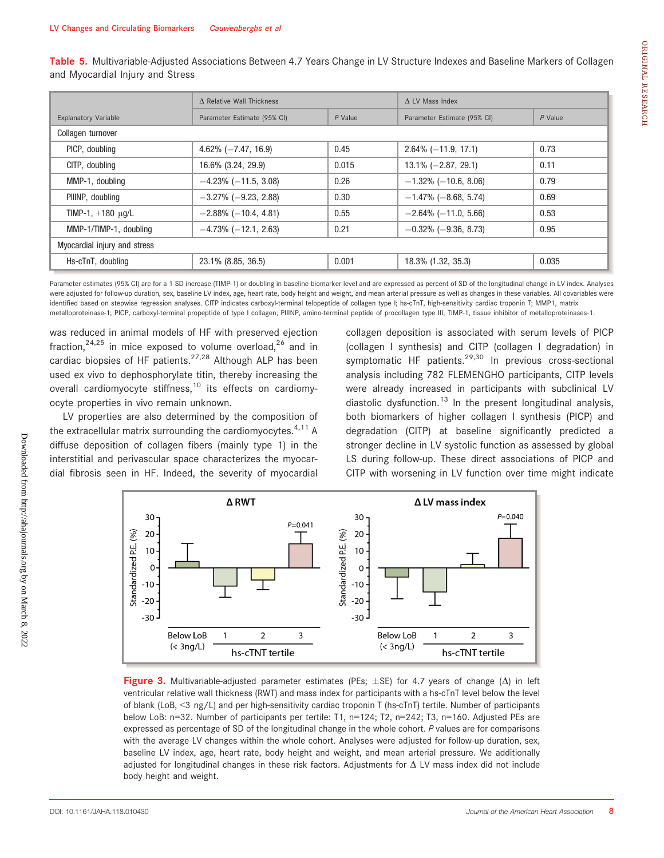|                              | A Relative Wall Thickness   |           | $\Lambda$ LV Mass Index     |           |  |  |
|------------------------------|-----------------------------|-----------|-----------------------------|-----------|--|--|
| <b>Explanatory Variable</b>  | Parameter Estimate (95% CI) | $P$ Value | Parameter Estimate (95% CI) | $P$ Value |  |  |
| Collagen turnover            |                             |           |                             |           |  |  |
| PICP, doubling               | $4.62\% (-7.47, 16.9)$      | 0.45      | $2.64\%$ (-11.9, 17.1)      | 0.73      |  |  |
| CITP, doubling               | 16.6% (3.24, 29.9)          | 0.015     | $13.1\% (-2.87, 29.1)$      | 0.11      |  |  |
| MMP-1, doubling              | $-4.23\%$ ( $-11.5, 3.08$ ) | 0.26      | $-1.32\%$ ( $-10.6, 8.06$ ) | 0.79      |  |  |
| PIIINP, doubling             | $-3.27\%$ ( $-9.23$ , 2.88) | 0.30      | $-1.47\%$ (-8.68, 5.74)     | 0.69      |  |  |
| TIMP-1, $+180 \mu q/L$       | $-2.88\%$ (-10.4, 4.81)     | 0.55      | $-2.64\%$ ( $-11.0, 5.66$ ) | 0.53      |  |  |
| MMP-1/TIMP-1, doubling       | $-4.73\%$ (-12.1, 2.63)     | 0.21      | $-0.32\%$ ( $-9.36$ , 8.73) | 0.95      |  |  |
| Myocardial injury and stress |                             |           |                             |           |  |  |
| Hs-cTnT, doubling            | 23.1% (8.85, 36.5)          | 0.001     | 18.3% (1.32, 35.3)          | 0.035     |  |  |

Table 5. Multivariable-Adjusted Associations Between 4.7 Years Change in LV Structure Indexes and Baseline Markers of Collagen and Myocardial Injury and Stress

Parameter estimates (95% CI) are for a 1-SD increase (TIMP-1) or doubling in baseline biomarker level and are expressed as percent of SD of the longitudinal change in LV index. Analyses were adjusted for follow-up duration, sex, baseline LV index, age, heart rate, body height and weight, and mean arterial pressure as well as changes in these variables. All covariables were identified based on stepwise regression analyses. CITP indicates carboxyl-terminal telopeptide of collagen type I; hs-cTnT, high-sensitivity cardiac troponin T; MMP1, matrix metalloproteinase-1; PICP, carboxyl-terminal propeptide of type I collagen; PIIINP, amino-terminal peptide of procollagen type III; TIMP-1, tissue inhibitor of metalloproteinases-1.

was reduced in animal models of HF with preserved ejection fraction,<sup>24,25</sup> in mice exposed to volume overload,<sup>26</sup> and in cardiac biopsies of HF patients.<sup>27,28</sup> Although ALP has been used ex vivo to dephosphorylate titin, thereby increasing the overall cardiomyocyte stiffness,<sup>10</sup> its effects on cardiomyocyte properties in vivo remain unknown.

LV properties are also determined by the composition of the extracellular matrix surrounding the cardiomyocytes. $4,11$  A diffuse deposition of collagen fibers (mainly type 1) in the interstitial and perivascular space characterizes the myocardial fibrosis seen in HF. Indeed, the severity of myocardial collagen deposition is associated with serum levels of PICP (collagen I synthesis) and CITP (collagen I degradation) in symptomatic HF patients.<sup>29,30</sup> In previous cross-sectional analysis including 782 FLEMENGHO participants, CITP levels were already increased in participants with subclinical LV diastolic dysfunction.<sup>13</sup> In the present longitudinal analysis, both biomarkers of higher collagen I synthesis (PICP) and degradation (CITP) at baseline significantly predicted a stronger decline in LV systolic function as assessed by global LS during follow-up. These direct associations of PICP and CITP with worsening in LV function over time might indicate



**Figure 3.** Multivariable-adjusted parameter estimates (PEs;  $\pm$ SE) for 4.7 years of change ( $\Delta$ ) in left ventricular relative wall thickness (RWT) and mass index for participants with a hs-cTnT level below the level of blank (LoB, <3 ng/L) and per high-sensitivity cardiac troponin T (hs-cTnT) tertile. Number of participants below LoB: n=32. Number of participants per tertile: T1, n=124; T2, n=242; T3, n=160. Adjusted PEs are expressed as percentage of SD of the longitudinal change in the whole cohort. P values are for comparisons with the average LV changes within the whole cohort. Analyses were adjusted for follow-up duration, sex, baseline LV index, age, heart rate, body height and weight, and mean arterial pressure. We additionally adjusted for longitudinal changes in these risk factors. Adjustments for  $\Delta$  LV mass index did not include body height and weight.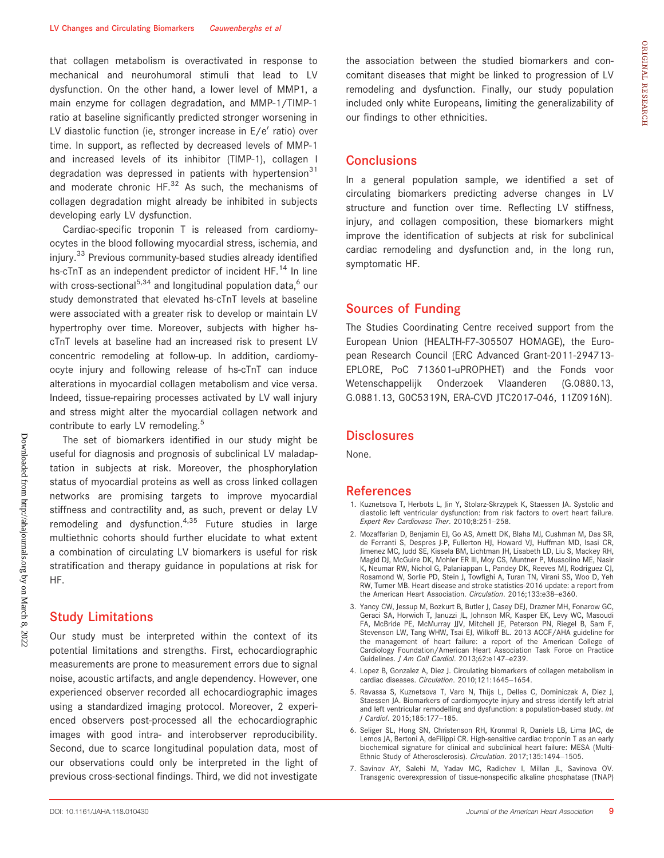that collagen metabolism is overactivated in response to mechanical and neurohumoral stimuli that lead to LV dysfunction. On the other hand, a lower level of MMP1, a main enzyme for collagen degradation, and MMP-1/TIMP-1 ratio at baseline significantly predicted stronger worsening in LV diastolic function (ie, stronger increase in  $E/e'$  ratio) over time. In support, as reflected by decreased levels of MMP-1 and increased levels of its inhibitor (TIMP-1), collagen I degradation was depressed in patients with hypertension $31$ and moderate chronic  $HF^{32}$  As such, the mechanisms of collagen degradation might already be inhibited in subjects developing early LV dysfunction.

Cardiac-specific troponin T is released from cardiomyocytes in the blood following myocardial stress, ischemia, and injury.<sup>33</sup> Previous community-based studies already identified hs-cTnT as an independent predictor of incident HF.<sup>14</sup> In line with cross-sectional<sup>5,34</sup> and longitudinal population data, $6$  our study demonstrated that elevated hs-cTnT levels at baseline were associated with a greater risk to develop or maintain LV hypertrophy over time. Moreover, subjects with higher hscTnT levels at baseline had an increased risk to present LV concentric remodeling at follow-up. In addition, cardiomyocyte injury and following release of hs-cTnT can induce alterations in myocardial collagen metabolism and vice versa. Indeed, tissue-repairing processes activated by LV wall injury and stress might alter the myocardial collagen network and contribute to early LV remodeling.<sup>5</sup>

The set of biomarkers identified in our study might be useful for diagnosis and prognosis of subclinical LV maladaptation in subjects at risk. Moreover, the phosphorylation status of myocardial proteins as well as cross linked collagen networks are promising targets to improve myocardial stiffness and contractility and, as such, prevent or delay LV remodeling and dysfunction. $4,35$  Future studies in large multiethnic cohorts should further elucidate to what extent a combination of circulating LV biomarkers is useful for risk stratification and therapy guidance in populations at risk for HF.

#### Study Limitations

Our study must be interpreted within the context of its potential limitations and strengths. First, echocardiographic measurements are prone to measurement errors due to signal noise, acoustic artifacts, and angle dependency. However, one experienced observer recorded all echocardiographic images using a standardized imaging protocol. Moreover, 2 experienced observers post-processed all the echocardiographic images with good intra- and interobserver reproducibility. Second, due to scarce longitudinal population data, most of our observations could only be interpreted in the light of previous cross-sectional findings. Third, we did not investigate the association between the studied biomarkers and concomitant diseases that might be linked to progression of LV remodeling and dysfunction. Finally, our study population included only white Europeans, limiting the generalizability of our findings to other ethnicities.

#### **Conclusions**

In a general population sample, we identified a set of circulating biomarkers predicting adverse changes in LV structure and function over time. Reflecting LV stiffness, injury, and collagen composition, these biomarkers might improve the identification of subjects at risk for subclinical cardiac remodeling and dysfunction and, in the long run, symptomatic HF.

# Sources of Funding

The Studies Coordinating Centre received support from the European Union (HEALTH-F7-305507 HOMAGE), the European Research Council (ERC Advanced Grant-2011-294713- EPLORE, PoC 713601-uPROPHET) and the Fonds voor Wetenschappelijk Onderzoek Vlaanderen (G.0880.13, G.0881.13, G0C5319N, ERA-CVD JTC2017-046, 11Z0916N).

# **Disclosures**

None.

#### References

- 1. Kuznetsova T, Herbots L, Jin Y, Stolarz-Skrzypek K, Staessen JA. Systolic and diastolic left ventricular dysfunction: from risk factors to overt heart failure. Expert Rev Cardiovasc Ther. 2010;8:251–258.
- 2. Mozaffarian D, Benjamin EJ, Go AS, Arnett DK, Blaha MJ, Cushman M, Das SR, de Ferranti S, Despres J-P, Fullerton HJ, Howard VJ, Huffman MD, Isasi CR, Jimenez MC, Judd SE, Kissela BM, Lichtman JH, Lisabeth LD, Liu S, Mackey RH, Magid DJ, McGuire DK, Mohler ER III, Moy CS, Muntner P, Mussolino ME, Nasir K, Neumar RW, Nichol G, Palaniappan L, Pandey DK, Reeves MJ, Rodriguez CJ, Rosamond W, Sorlie PD, Stein J, Towfighi A, Turan TN, Virani SS, Woo D, Yeh RW, Turner MB. Heart disease and stroke statistics-2016 update: a report from the American Heart Association. Circulation. 2016;133:e38-e360.
- 3. Yancy CW, Jessup M, Bozkurt B, Butler J, Casey DEJ, Drazner MH, Fonarow GC, Geraci SA, Horwich T, Januzzi JL, Johnson MR, Kasper EK, Levy WC, Masoudi FA, McBride PE, McMurray JJV, Mitchell JE, Peterson PN, Riegel B, Sam F, Stevenson LW, Tang WHW, Tsai EJ, Wilkoff BL. 2013 ACCF/AHA guideline for the management of heart failure: a report of the American College of Cardiology Foundation/American Heart Association Task Force on Practice Guidelines. J Am Coll Cardiol. 2013;62:e147–e239.
- 4. Lopez B, Gonzalez A, Diez J. Circulating biomarkers of collagen metabolism in cardiac diseases. Circulation. 2010;121:1645-1654.
- 5. Ravassa S, Kuznetsova T, Varo N, Thijs L, Delles C, Dominiczak A, Diez J, Staessen JA. Biomarkers of cardiomyocyte injury and stress identify left atrial and left ventricular remodelling and dysfunction: a population-based study. Int J Cardiol. 2015;185:177–185.
- 6. Seliger SL, Hong SN, Christenson RH, Kronmal R, Daniels LB, Lima JAC, de Lemos JA, Bertoni A, deFilippi CR. High-sensitive cardiac troponin T as an early biochemical signature for clinical and subclinical heart failure: MESA (Multi-Ethnic Study of Atherosclerosis). Circulation. 2017;135:1494–1505.
- 7. Savinov AY, Salehi M, Yadav MC, Radichev I, Millan JL, Savinova OV. Transgenic overexpression of tissue-nonspecific alkaline phosphatase (TNAP)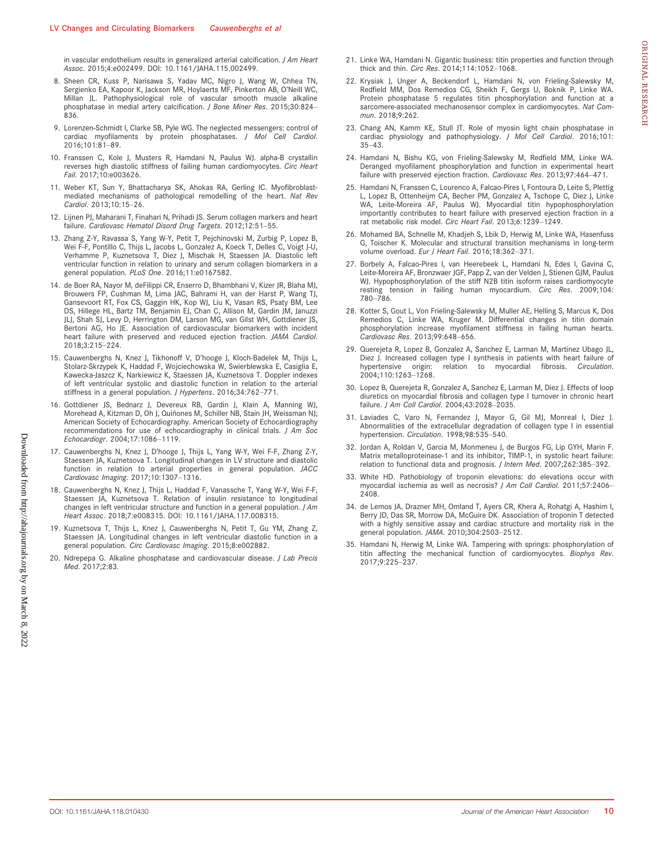in vascular endothelium results in generalized arterial calcification. J Am Heart Assoc. 2015;4:e002499. DOI: [10.1161/JAHA.115.002499](https://doi.org/10.1161/JAHA.115.002499).

- 8. Sheen CR, Kuss P, Narisawa S, Yadav MC, Nigro J, Wang W, Chhea TN, Sergienko EA, Kapoor K, Jackson MR, Hoylaerts MF, Pinkerton AB, O'Neill WC, Millan JL. Pathophysiological role of vascular smooth muscle alkaline phosphatase in medial artery calcification. J Bone Miner Res. 2015;30:824– 836.
- 9. Lorenzen-Schmidt I, Clarke SB, Pyle WG. The neglected messengers: control of cardiac myofilaments by protein phosphatases. J Mol Cell Cardiol. 2016;101:81–89.
- 10. Franssen C, Kole J, Musters R, Hamdani N, Paulus WJ. alpha-B crystallin reverses high diastolic stiffness of failing human cardiomyocytes. Circ Heart Fail. 2017;10:e003626.
- 11. Weber KT, Sun Y, Bhattacharya SK, Ahokas RA, Gerling IC. Myofibroblastmediated mechanisms of pathological remodelling of the heart. Nat Rev Cardiol. 2013;10:15–26.
- 12. Lijnen PJ, Maharani T, Finahari N, Prihadi JS. Serum collagen markers and heart failure. Cardiovasc Hematol Disord Drug Targets. 2012;12:51-55.
- 13. Zhang Z-Y, Ravassa S, Yang W-Y, Petit T, Pejchinovski M, Zurbig P, Lopez B, Wei F-F, Pontillo C, Thijs L, Jacobs L, Gonzalez A, Koeck T, Delles C, Voigt J-U, Verhamme P, Kuznetsova T, Diez J, Mischak H, Staessen JA. Diastolic left ventricular function in relation to urinary and serum collagen biomarkers in a general population. PLoS One. 2016;11:e0167582.
- 14. de Boer RA, Nayor M, deFilippi CR, Enserro D, Bhambhani V, Kizer JR, Blaha MJ, Brouwers FP, Cushman M, Lima JAC, Bahrami H, van der Harst P, Wang TJ, Gansevoort RT, Fox CS, Gaggin HK, Kop WJ, Liu K, Vasan RS, Psaty BM, Lee DS, Hillege HL, Bartz TM, Benjamin EJ, Chan C, Allison M, Gardin JM, Januzzi JLJ, Shah SJ, Levy D, Herrington DM, Larson MG, van Gilst WH, Gottdiener JS, Bertoni AG, Ho JE. Association of cardiovascular biomarkers with incident heart failure with preserved and reduced ejection fraction. JAMA Cardiol. 2018;3:215–224.
- 15. Cauwenberghs N, Knez J, Tikhonoff V, D'hooge J, Kloch-Badelek M, Thijs L, Stolarz-Skrzypek K, Haddad F, Wojciechowska W, Swierblewska E, Casiglia E, Kawecka-Jaszcz K, Narkiewicz K, Staessen JA, Kuznetsova T. Doppler indexes of left ventricular systolic and diastolic function in relation to the arterial stiffness in a general population. J Hypertens. 2016;34:762-771.
- 16. Gottdiener JS, Bednarz J, Devereux RB, Gardin J, Klain A, Manning WJ, Morehead A, Kitzman D, Oh J, Quiñones M, Schiller NB, Stain JH, Weissman NJ; American Society of Echocardiography. American Society of Echocardiography recommendations for use of echocardiography in clinical trials. J Am Soc Echocardiogr. 2004;17:1086–1119.
- 17. Cauwenberghs N, Knez J, D'hooge J, Thijs L, Yang W-Y, Wei F-F, Zhang Z-Y, Staessen JA, Kuznetsova T. Longitudinal changes in LV structure and diastolic function in relation to arterial properties in general population. JACC Cardiovasc Imaging. 2017;10:1307–1316.
- 18. Cauwenberghs N, Knez J, Thijs L, Haddad F, Vanassche T, Yang W-Y, Wei F-F, Staessen JA, Kuznetsova T. Relation of insulin resistance to longitudinal changes in left ventricular structure and function in a general population. *J Am* Heart Assoc. 2018;7:e008315. DOI: [10.1161/JAHA.117.008315](https://doi.org/10.1161/JAHA.117.008315).
- 19. Kuznetsova T, Thijs L, Knez J, Cauwenberghs N, Petit T, Gu YM, Zhang Z, Staessen JA. Longitudinal changes in left ventricular diastolic function in a general population. Circ Cardiovasc Imaging. 2015;8:e002882.
- 20. Ndrepepa G. Alkaline phosphatase and cardiovascular disease. *J Lab Precis* Med. 2017;2:83.
- 21. Linke WA, Hamdani N. Gigantic business: titin properties and function through thick and thin. Circ Res. 2014;114:1052–1068.
- 22. Krysiak J, Unger A, Beckendorf L, Hamdani N, von Frieling-Salewsky M, Redfield MM, Dos Remedios CG, Sheikh F, Gergs U, Boknik P, Linke WA. Protein phosphatase 5 regulates titin phosphorylation and function at a sarcomere-associated mechanosensor complex in cardiomyocytes. Nat Commun. 2018;9:262.
- 23. Chang AN, Kamm KE, Stull JT. Role of myosin light chain phosphatase in cardiac physiology and pathophysiology. J Mol Cell Cardiol. 2016;101: 35–43.
- 24. Hamdani N, Bishu KG, von Frieling-Salewsky M, Redfield MM, Linke WA. Deranged myofilament phosphorylation and function in experimental heart failure with preserved ejection fraction. Cardiovasc Res. 2013;97:464–471.
- 25. Hamdani N, Franssen C, Lourenco A, Falcao-Pires I, Fontoura D, Leite S, Plettig L, Lopez B, Ottenheijm CA, Becher PM, Gonzalez A, Tschope C, Diez J, Linke WA, Leite-Moreira AF, Paulus WJ. Myocardial titin hypophosphorylation importantly contributes to heart failure with preserved ejection fraction in a rat metabolic risk model. Circ Heart Fail. 2013;6:1239-1249
- 26. Mohamed BA, Schnelle M, Khadjeh S, Lbik D, Herwig M, Linke WA, Hasenfuss G, Toischer K. Molecular and structural transition mechanisms in long-term volume overload. Eur J Heart Fail. 2016;18:362-371.
- 27. Borbely A, Falcao-Pires I, van Heerebeek L, Hamdani N, Edes I, Gavina C, Leite-Moreira AF, Bronzwaer JGF, Papp Z, van der Velden J, Stienen GJM, Paulus WJ. Hypophosphorylation of the stiff N2B titin isoform raises cardiomyocyte resting tension in failing human myocardium. Circ Res. 2009;104: 780–786.
- 28. Kotter S, Gout L, Von Frieling-Salewsky M, Muller AE, Helling S, Marcus K, Dos Remedios C, Linke WA, Kruger M. Differential changes in titin domain phosphorylation increase myofilament stiffness in failing human hearts. Cardiovasc Res. 2013;99:648–656.
- 29. Querejeta R, Lopez B, Gonzalez A, Sanchez E, Larman M, Martinez Ubago JL, Diez J. Increased collagen type I synthesis in patients with heart failure of hypertensive origin: relation to myocardial fibrosis. Circulation relation to myocardial fibrosis. Circulation. 2004;110:1263–1268.
- 30. Lopez B, Querejeta R, Gonzalez A, Sanchez E, Larman M, Diez J. Effects of loop diuretics on myocardial fibrosis and collagen type I turnover in chronic heart failure. J Am Coll Cardiol. 2004;43:2028–2035.
- 31. Laviades C, Varo N, Fernandez J, Mayor G, Gil MJ, Monreal I, Diez J. Abnormalities of the extracellular degradation of collagen type I in essential hypertension. Circulation. 1998;98:535-540.
- 32. Jordan A, Roldan V, Garcia M, Monmeneu J, de Burgos FG, Lip GYH, Marin F. Matrix metalloproteinase-1 and its inhibitor, TIMP-1, in systolic heart failure: relation to functional data and prognosis. J Intern Med. 2007;262:385–392.
- 33. White HD. Pathobiology of troponin elevations: do elevations occur with myocardial ischemia as well as necrosis? J Am Coll Cardiol. 2011;57:2406– 2408.
- 34. de Lemos JA, Drazner MH, Omland T, Ayers CR, Khera A, Rohatgi A, Hashim I, Berry JD, Das SR, Morrow DA, McGuire DK. Association of troponin T detected with a highly sensitive assay and cardiac structure and mortality risk in the general population. JAMA. 2010;304:2503–2512.
- 35. Hamdani N, Herwig M, Linke WA. Tampering with springs: phosphorylation of titin affecting the mechanical function of cardiomyocytes. Biophys Rev. 2017;9:225–237.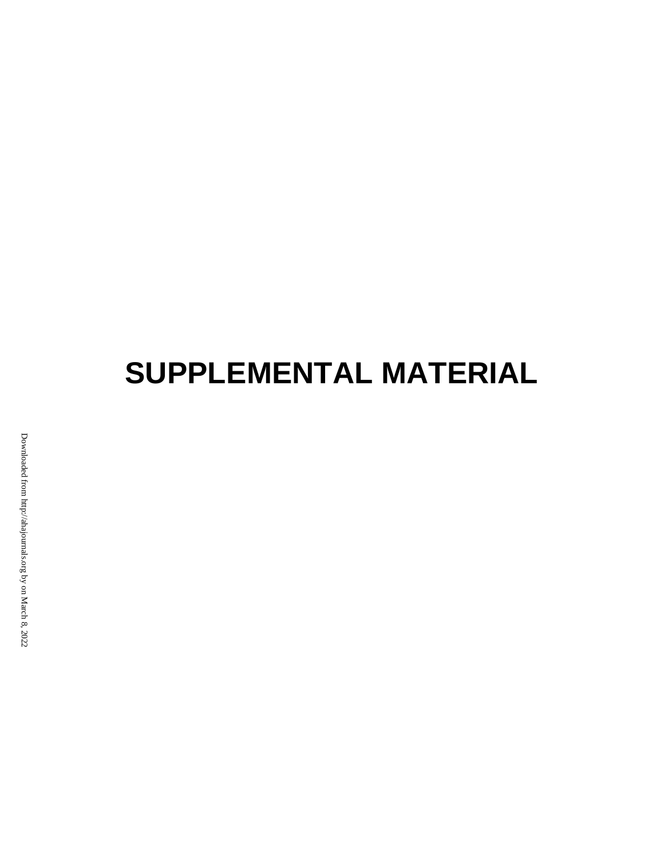# **SUPPLEMENTAL MATERIAL**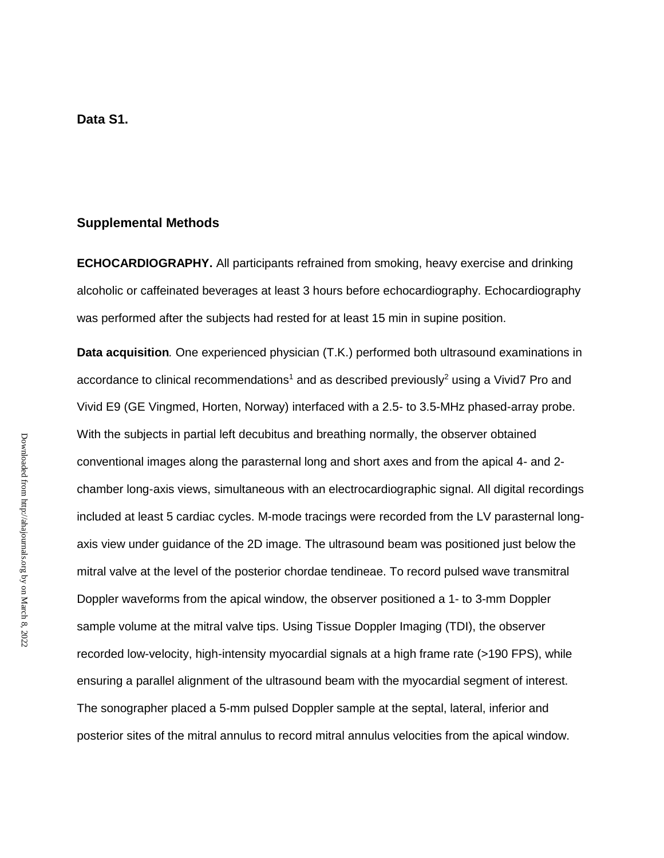## **Supplemental Methods**

**ECHOCARDIOGRAPHY.** All participants refrained from smoking, heavy exercise and drinking alcoholic or caffeinated beverages at least 3 hours before echocardiography. Echocardiography was performed after the subjects had rested for at least 15 min in supine position.

**Data acquisition***.* One experienced physician (T.K.) performed both ultrasound examinations in accordance to clinical recommendations<sup>1</sup> and as described previously<sup>2</sup> using a Vivid7 Pro and Vivid E9 (GE Vingmed, Horten, Norway) interfaced with a 2.5- to 3.5-MHz phased-array probe. With the subjects in partial left decubitus and breathing normally, the observer obtained conventional images along the parasternal long and short axes and from the apical 4- and 2 chamber long-axis views, simultaneous with an electrocardiographic signal. All digital recordings included at least 5 cardiac cycles. M-mode tracings were recorded from the LV parasternal longaxis view under guidance of the 2D image. The ultrasound beam was positioned just below the mitral valve at the level of the posterior chordae tendineae. To record pulsed wave transmitral Doppler waveforms from the apical window, the observer positioned a 1- to 3-mm Doppler sample volume at the mitral valve tips. Using Tissue Doppler Imaging (TDI), the observer recorded low-velocity, high-intensity myocardial signals at a high frame rate (>190 FPS), while ensuring a parallel alignment of the ultrasound beam with the myocardial segment of interest. The sonographer placed a 5-mm pulsed Doppler sample at the septal, lateral, inferior and posterior sites of the mitral annulus to record mitral annulus velocities from the apical window.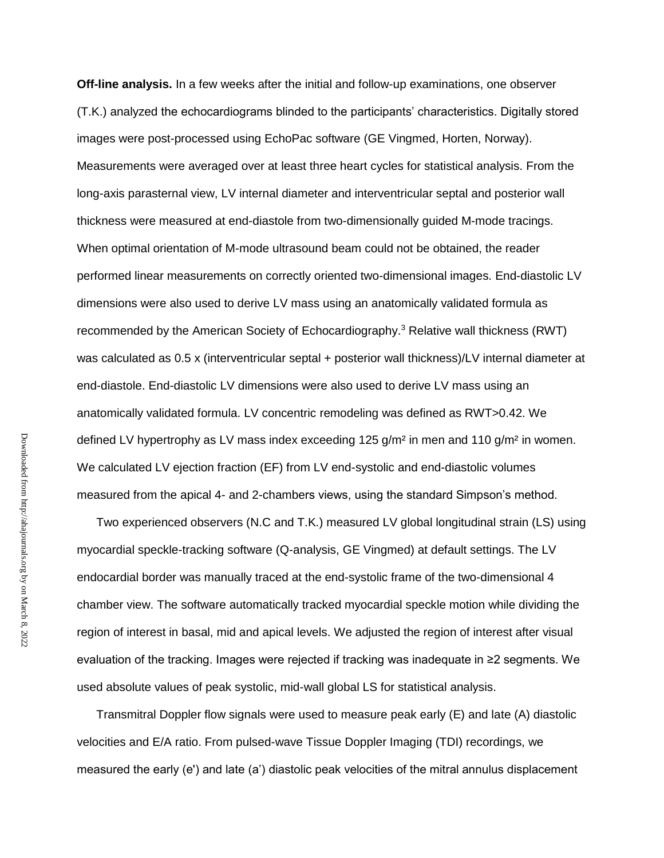**Off-line analysis.** In a few weeks after the initial and follow-up examinations, one observer (T.K.) analyzed the echocardiograms blinded to the participants' characteristics. Digitally stored images were post-processed using EchoPac software (GE Vingmed, Horten, Norway). Measurements were averaged over at least three heart cycles for statistical analysis. From the long-axis parasternal view, LV internal diameter and interventricular septal and posterior wall thickness were measured at end-diastole from two-dimensionally guided M-mode tracings. When optimal orientation of M-mode ultrasound beam could not be obtained, the reader performed linear measurements on correctly oriented two-dimensional images. End-diastolic LV dimensions were also used to derive LV mass using an anatomically validated formula as recommended by the American Society of Echocardiography.<sup>3</sup> Relative wall thickness (RWT) was calculated as 0.5 x (interventricular septal + posterior wall thickness)/LV internal diameter at end-diastole. End-diastolic LV dimensions were also used to derive LV mass using an anatomically validated formula. LV concentric remodeling was defined as RWT>0.42. We defined LV hypertrophy as LV mass index exceeding  $125$  g/m<sup>2</sup> in men and  $110$  g/m<sup>2</sup> in women. We calculated LV ejection fraction (EF) from LV end-systolic and end-diastolic volumes measured from the apical 4- and 2-chambers views, using the standard Simpson's method.

Two experienced observers (N.C and T.K.) measured LV global longitudinal strain (LS) using myocardial speckle-tracking software (Q-analysis, GE Vingmed) at default settings. The LV endocardial border was manually traced at the end-systolic frame of the two-dimensional 4 chamber view. The software automatically tracked myocardial speckle motion while dividing the region of interest in basal, mid and apical levels. We adjusted the region of interest after visual evaluation of the tracking. Images were rejected if tracking was inadequate in ≥2 segments. We used absolute values of peak systolic, mid-wall global LS for statistical analysis.

Transmitral Doppler flow signals were used to measure peak early (E) and late (A) diastolic velocities and E/A ratio. From pulsed-wave Tissue Doppler Imaging (TDI) recordings, we measured the early (e') and late (a') diastolic peak velocities of the mitral annulus displacement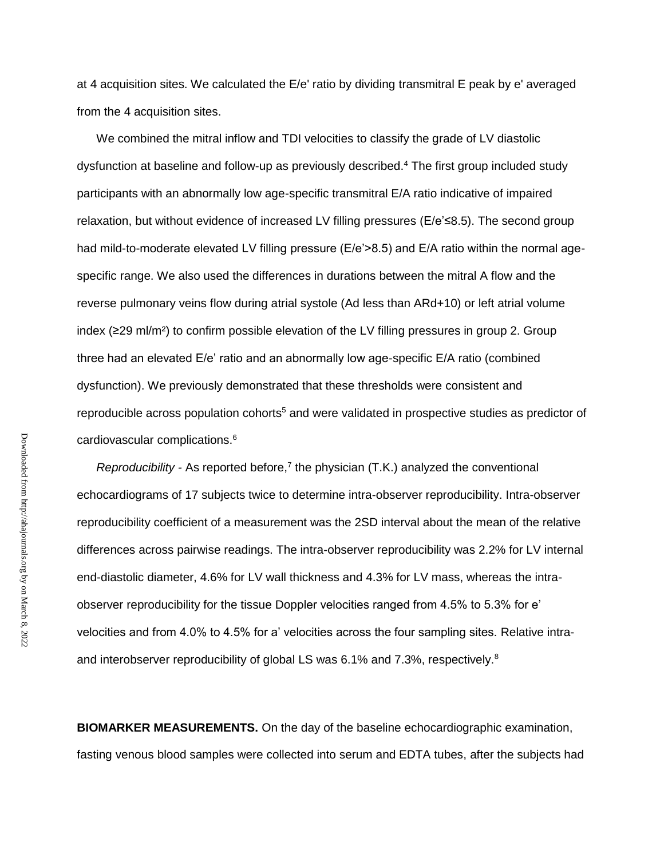at 4 acquisition sites. We calculated the E/e' ratio by dividing transmitral E peak by e' averaged from the 4 acquisition sites.

We combined the mitral inflow and TDI velocities to classify the grade of LV diastolic dysfunction at baseline and follow-up as previously described.<sup>4</sup> The first group included study participants with an abnormally low age-specific transmitral E/A ratio indicative of impaired relaxation, but without evidence of increased LV filling pressures (E/e'≤8.5). The second group had mild-to-moderate elevated LV filling pressure (E/e'>8.5) and E/A ratio within the normal agespecific range. We also used the differences in durations between the mitral A flow and the reverse pulmonary veins flow during atrial systole (Ad less than ARd+10) or left atrial volume index (≥29 ml/m²) to confirm possible elevation of the LV filling pressures in group 2. Group three had an elevated E/e' ratio and an abnormally low age-specific E/A ratio (combined dysfunction). We previously demonstrated that these thresholds were consistent and reproducible across population cohorts<sup>5</sup> and were validated in prospective studies as predictor of cardiovascular complications.<sup>6</sup>

*Reproducibility -* As reported before,<sup>7</sup> the physician (T.K.) analyzed the conventional echocardiograms of 17 subjects twice to determine intra-observer reproducibility. Intra-observer reproducibility coefficient of a measurement was the 2SD interval about the mean of the relative differences across pairwise readings. The intra-observer reproducibility was 2.2% for LV internal end-diastolic diameter, 4.6% for LV wall thickness and 4.3% for LV mass, whereas the intraobserver reproducibility for the tissue Doppler velocities ranged from 4.5% to 5.3% for e' velocities and from 4.0% to 4.5% for a' velocities across the four sampling sites. Relative intraand interobserver reproducibility of global LS was 6.1% and 7.3%, respectively.<sup>8</sup>

**BIOMARKER MEASUREMENTS.** On the day of the baseline echocardiographic examination, fasting venous blood samples were collected into serum and EDTA tubes, after the subjects had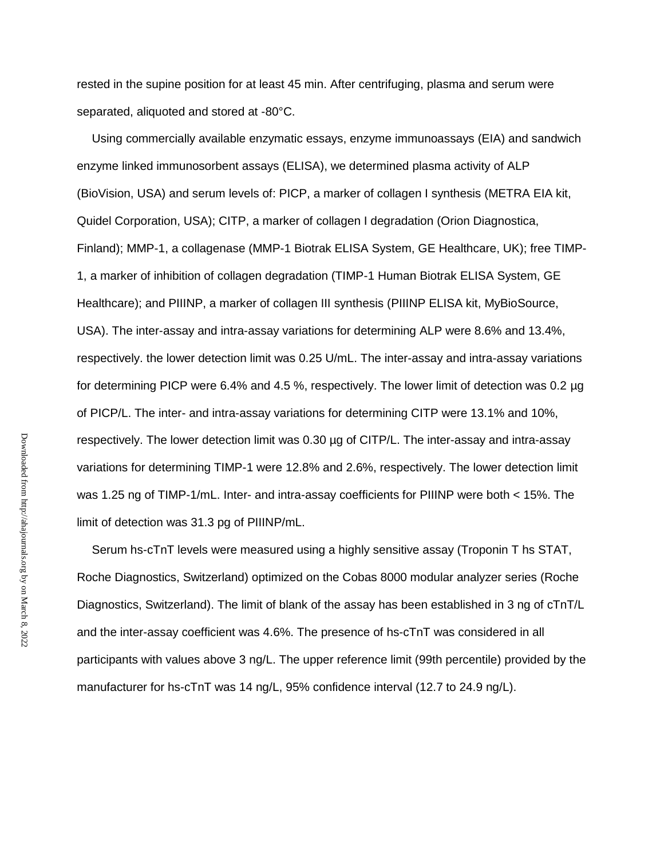rested in the supine position for at least 45 min. After centrifuging, plasma and serum were separated, aliquoted and stored at -80°C.

Using commercially available enzymatic essays, enzyme immunoassays (EIA) and sandwich enzyme linked immunosorbent assays (ELISA), we determined plasma activity of ALP (BioVision, USA) and serum levels of: PICP, a marker of collagen I synthesis (METRA EIA kit, Quidel Corporation, USA); CITP, a marker of collagen I degradation (Orion Diagnostica, Finland); MMP-1, a collagenase (MMP-1 Biotrak ELISA System, GE Healthcare, UK); free TIMP-1, a marker of inhibition of collagen degradation (TIMP-1 Human Biotrak ELISA System, GE Healthcare); and PIIINP, a marker of collagen III synthesis (PIIINP ELISA kit, MyBioSource, USA). The inter-assay and intra-assay variations for determining ALP were 8.6% and 13.4%, respectively. the lower detection limit was 0.25 U/mL. The inter-assay and intra-assay variations for determining PICP were 6.4% and 4.5 %, respectively. The lower limit of detection was 0.2 µg of PICP/L. The inter- and intra-assay variations for determining CITP were 13.1% and 10%, respectively. The lower detection limit was 0.30 µg of CITP/L. The inter-assay and intra-assay variations for determining TIMP-1 were 12.8% and 2.6%, respectively. The lower detection limit was 1.25 ng of TIMP-1/mL. Inter- and intra-assay coefficients for PIIINP were both < 15%. The limit of detection was 31.3 pg of PIIINP/mL.

Serum hs-cTnT levels were measured using a highly sensitive assay (Troponin T hs STAT, Roche Diagnostics, Switzerland) optimized on the Cobas 8000 modular analyzer series (Roche Diagnostics, Switzerland). The limit of blank of the assay has been established in 3 ng of cTnT/L and the inter-assay coefficient was 4.6%. The presence of hs-cTnT was considered in all participants with values above 3 ng/L. The upper reference limit (99th percentile) provided by the manufacturer for hs-cTnT was 14 ng/L, 95% confidence interval (12.7 to 24.9 ng/L).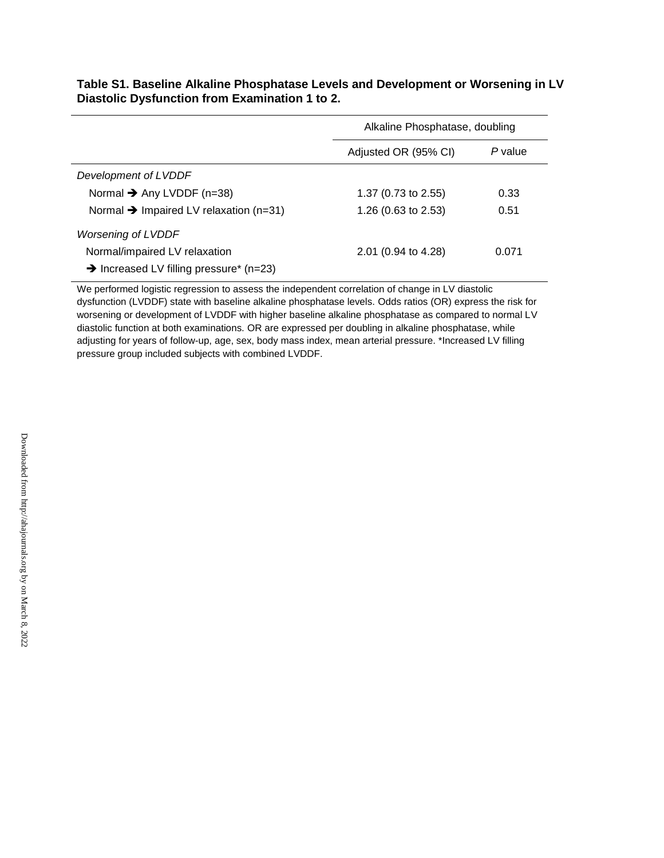|                                                     | Alkaline Phosphatase, doubling |         |  |
|-----------------------------------------------------|--------------------------------|---------|--|
|                                                     | Adjusted OR (95% CI)           | P value |  |
| Development of LVDDF                                |                                |         |  |
| Normal $\rightarrow$ Any LVDDF (n=38)               | 1.37 $(0.73 \text{ to } 2.55)$ | 0.33    |  |
| Normal $\rightarrow$ Impaired LV relaxation (n=31)  | 1.26 $(0.63 \text{ to } 2.53)$ | 0.51    |  |
| <b>Worsening of LVDDF</b>                           |                                |         |  |
| Normal/impaired LV relaxation                       | $2.01$ (0.94 to 4.28)          | 0.071   |  |
| $\rightarrow$ Increased LV filling pressure* (n=23) |                                |         |  |

**Table S1. Baseline Alkaline Phosphatase Levels and Development or Worsening in LV Diastolic Dysfunction from Examination 1 to 2.**

We performed logistic regression to assess the independent correlation of change in LV diastolic dysfunction (LVDDF) state with baseline alkaline phosphatase levels. Odds ratios (OR) express the risk for worsening or development of LVDDF with higher baseline alkaline phosphatase as compared to normal LV diastolic function at both examinations. OR are expressed per doubling in alkaline phosphatase, while adjusting for years of follow-up, age, sex, body mass index, mean arterial pressure. \*Increased LV filling pressure group included subjects with combined LVDDF.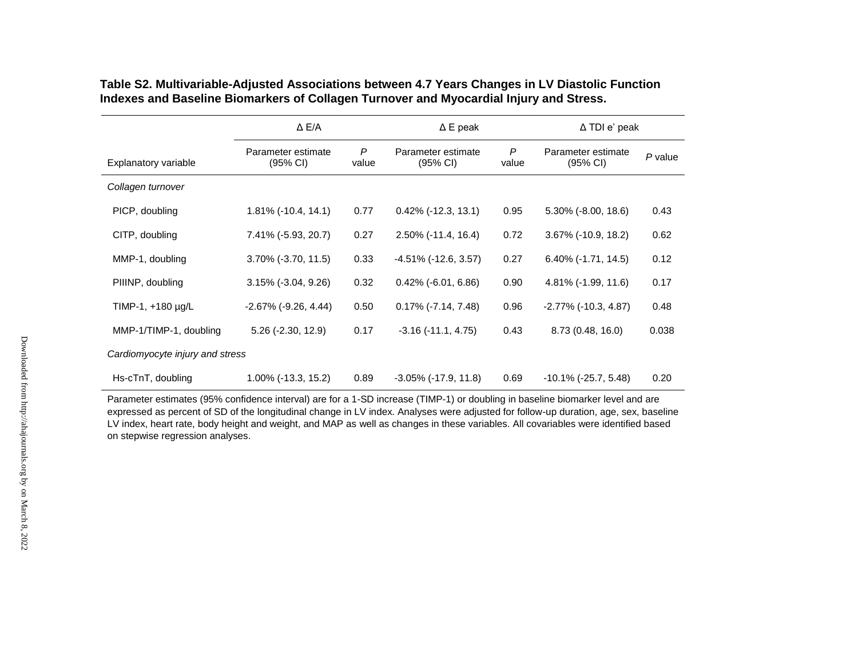|                                 | $\triangle$ E/A                          |            | $\Delta$ E peak                          |                       | $\Delta$ TDI e' peak                       |         |
|---------------------------------|------------------------------------------|------------|------------------------------------------|-----------------------|--------------------------------------------|---------|
| Explanatory variable            | Parameter estimate<br>$(95% \text{ Cl})$ | P<br>value | Parameter estimate<br>$(95% \text{ Cl})$ | $\mathsf{P}$<br>value | Parameter estimate<br>$(95% \, \text{Cl})$ | P value |
| Collagen turnover               |                                          |            |                                          |                       |                                            |         |
| PICP, doubling                  | $1.81\%$ (-10.4, 14.1)                   | 0.77       | $0.42\%$ (-12.3, 13.1)                   | 0.95                  | $5.30\%$ (-8.00, 18.6)                     | 0.43    |
| CITP, doubling                  | 7.41% (-5.93, 20.7)                      | 0.27       | $2.50\%$ (-11.4, 16.4)                   | 0.72                  | 3.67% (-10.9, 18.2)                        | 0.62    |
| MMP-1, doubling                 | 3.70% (-3.70, 11.5)                      | 0.33       | $-4.51\%$ ( $-12.6, 3.57$ )              | 0.27                  | $6.40\%$ (-1.71, 14.5)                     | 0.12    |
| PIIINP, doubling                | $3.15\%$ (-3.04, 9.26)                   | 0.32       | $0.42\%$ (-6.01, 6.86)                   | 0.90                  | 4.81% (-1.99, 11.6)                        | 0.17    |
| TIMP-1, +180 µg/L               | $-2.67\%$ (-9.26, 4.44)                  | 0.50       | $0.17\%$ (-7.14, 7.48)                   | 0.96                  | $-2.77\%$ ( $-10.3, 4.87$ )                | 0.48    |
| MMP-1/TIMP-1, doubling          | $5.26$ ( $-2.30$ , $12.9$ )              | 0.17       | $-3.16(-11.1, 4.75)$                     | 0.43                  | 8.73 (0.48, 16.0)                          | 0.038   |
| Cardiomyocyte injury and stress |                                          |            |                                          |                       |                                            |         |
| Hs-cTnT, doubling               | 1.00% (-13.3, 15.2)                      | 0.89       | $-3.05\%$ ( $-17.9$ , $11.8$ )           | 0.69                  | $-10.1\%$ ( $-25.7, 5.48$ )                | 0.20    |

**Table S2. Multivariable-Adjusted Associations between 4.7 Years Changes in LV Diastolic Function Indexes and Baseline Biomarkers of Collagen Turnover and Myocardial Injury and Stress.**

Parameter estimates (95% confidence interval) are for a 1-SD increase (TIMP-1) or doubling in baseline biomarker level and are expressed as percent of SD of the longitudinal change in LV index. Analyses were adjusted for follow-up duration, age, sex, baseline LV index, heart rate, body height and weight, and MAP as well as changes in these variables. All covariables were identified based on stepwise regression analyses.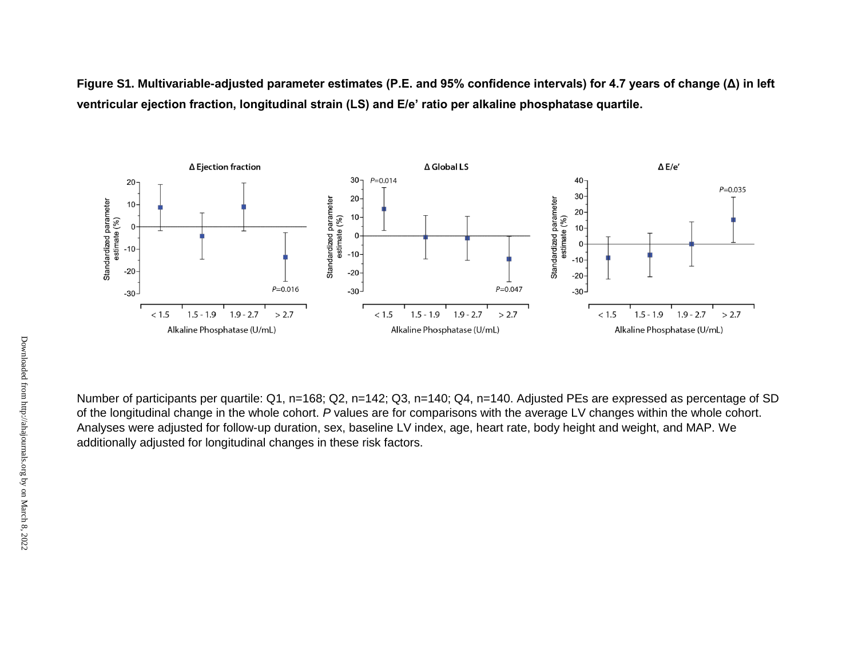**Figure S1. Multivariable-adjusted parameter estimates (P.E. and 95% confidence intervals) for 4.7 years of change (Δ) in left ventricular ejection fraction, longitudinal strain (LS) and E/e' ratio per alkaline phosphatase quartile.** 



Number of participants per quartile: Q1, n=168; Q2, n=142; Q3, n=140; Q4, n=140. Adjusted PEs are expressed as percentage of SD of the longitudinal change in the whole cohort. *P* values are for comparisons with the average LV changes within the whole cohort. Analyses were adjusted for follow-up duration, sex, baseline LV index, age, heart rate, body height and weight, and MAP. We additionally adjusted for longitudinal changes in these risk factors.